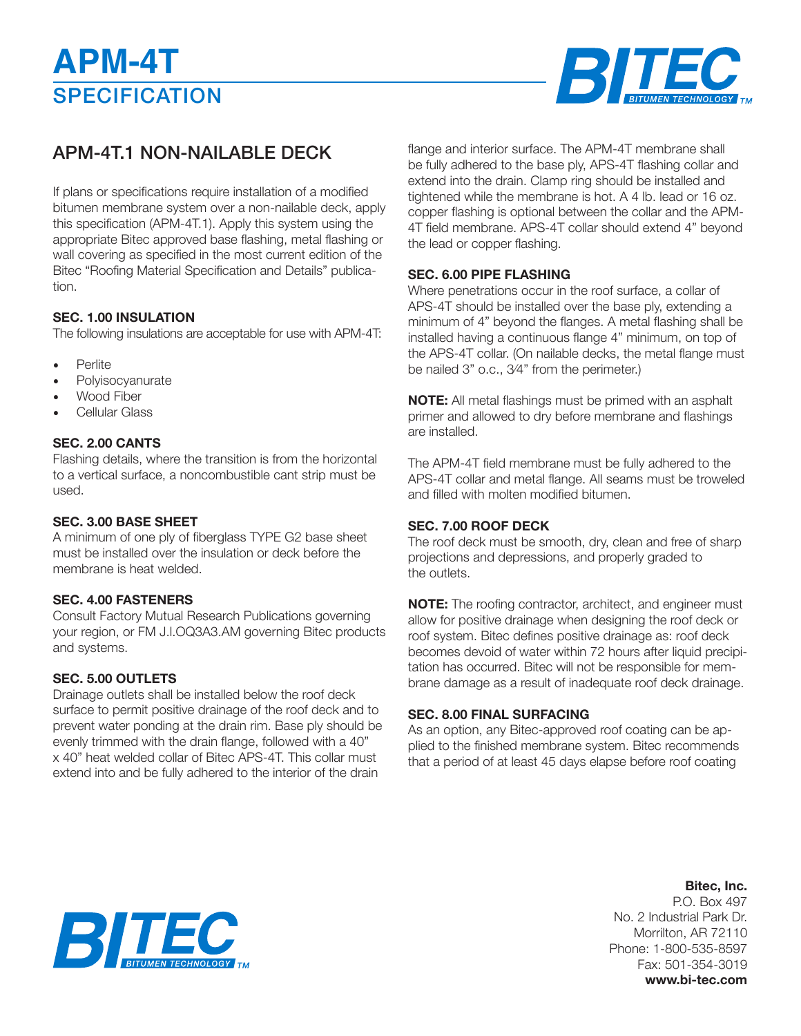

# APM-4T.1 NON-NAILABLE DECK

If plans or specifications require installation of a modified bitumen membrane system over a non-nailable deck, apply this specification (APM-4T.1). Apply this system using the appropriate Bitec approved base flashing, metal flashing or wall covering as specified in the most current edition of the Bitec "Roofing Material Specification and Details" publication.

#### **SEC. 1.00 INSULATION**

The following insulations are acceptable for use with APM-4T:

- **Perlite**
- **Polyisocyanurate**
- Wood Fiber
- Cellular Glass

# **SEC. 2.00 CANTS**

Flashing details, where the transition is from the horizontal to a vertical surface, a noncombustible cant strip must be used.

#### **SEC. 3.00 BASE SHEET**

A minimum of one ply of fiberglass TYPE G2 base sheet must be installed over the insulation or deck before the membrane is heat welded.

# **SEC. 4.00 FASTENERS**

Consult Factory Mutual Research Publications governing your region, or FM J.l.OQ3A3.AM governing Bitec products and systems.

# **SEC. 5.00 OUTLETS**

Drainage outlets shall be installed below the roof deck surface to permit positive drainage of the roof deck and to prevent water ponding at the drain rim. Base ply should be evenly trimmed with the drain flange, followed with a 40" x 40" heat welded collar of Bitec APS-4T. This collar must extend into and be fully adhered to the interior of the drain

flange and interior surface. The APM-4T membrane shall be fully adhered to the base ply, APS-4T flashing collar and extend into the drain. Clamp ring should be installed and tightened while the membrane is hot. A 4 lb. lead or 16 oz. copper flashing is optional between the collar and the APM-4T field membrane. APS-4T collar should extend 4" beyond the lead or copper flashing.

#### **SEC. 6.00 PIPE FLASHING**

Where penetrations occur in the roof surface, a collar of APS-4T should be installed over the base ply, extending a minimum of 4" beyond the flanges. A metal flashing shall be installed having a continuous flange 4" minimum, on top of the APS-4T collar. (On nailable decks, the metal flange must be nailed 3" o.c., 3⁄4" from the perimeter.)

**NOTE:** All metal flashings must be primed with an asphalt primer and allowed to dry before membrane and flashings are installed.

The APM-4T field membrane must be fully adhered to the APS-4T collar and metal flange. All seams must be troweled and filled with molten modified bitumen.

# **SEC. 7.00 ROOF DECK**

The roof deck must be smooth, dry, clean and free of sharp projections and depressions, and properly graded to the outlets.

**NOTE:** The roofing contractor, architect, and engineer must allow for positive drainage when designing the roof deck or roof system. Bitec defines positive drainage as: roof deck becomes devoid of water within 72 hours after liquid precipitation has occurred. Bitec will not be responsible for membrane damage as a result of inadequate roof deck drainage.

# **SEC. 8.00 FINAL SURFACING**

As an option, any Bitec-approved roof coating can be applied to the finished membrane system. Bitec recommends that a period of at least 45 days elapse before roof coating



**Bitec, Inc.** P.O. Box 497 No. 2 Industrial Park Dr. Morrilton, AR 72110 Phone: 1-800-535-8597 Fax: 501-354-3019 **www.bi-tec.com**